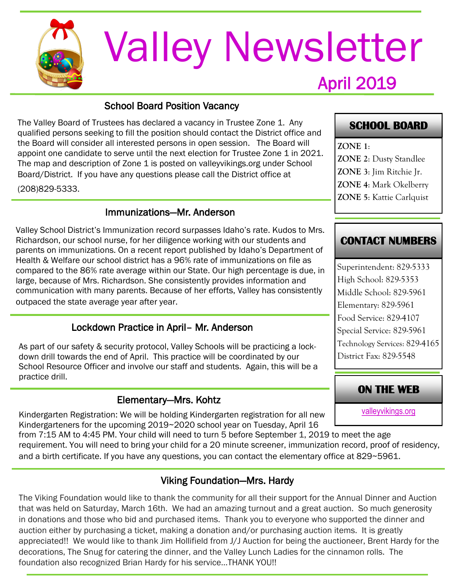

# April 2019 Valley Newsletter

### School Board Position Vacancy

The Valley Board of Trustees has declared a vacancy in Trustee Zone 1. Any qualified persons seeking to fill the position should contact the District office and the Board will consider all interested persons in open session. The Board will appoint one candidate to serve until the next election for Trustee Zone 1 in 2021. The map and description of Zone 1 is posted on valleyvikings.org under School Board/District. If you have any questions please call the District office at

(208)829-5333.

#### Immunizations—Mr. Anderson

Valley School District's Immunization record surpasses Idaho's rate. Kudos to Mrs. Richardson, our school nurse, for her diligence working with our students and parents on immunizations. On a recent report published by Idaho's Department of Health & Welfare our school district has a 96% rate of immunizations on file as compared to the 86% rate average within our State. Our high percentage is due, in large, because of Mrs. Richardson. She consistently provides information and communication with many parents. Because of her efforts, Valley has consistently outpaced the state average year after year.

# Lockdown Practice in April– Mr. Anderson

As part of our safety & security protocol, Valley Schools will be practicing a lockdown drill towards the end of April. This practice will be coordinated by our School Resource Officer and involve our staff and students. Again, this will be a practice drill.

#### Elementary—Mrs. Kohtz

Kindergarten Registration: We will be holding Kindergarten registration for all new Kindergarteners for the upcoming 2019~2020 school year on Tuesday, April 16

from 7:15 AM to 4:45 PM. Your child will need to turn 5 before September 1, 2019 to meet the age requirement. You will need to bring your child for a 20 minute screener, immunization record, proof of residency, and a birth certificate. If you have any questions, you can contact the elementary office at 829~5961.

# Viking Foundation—Mrs. Hardy

The Viking Foundation would like to thank the community for all their support for the Annual Dinner and Auction that was held on Saturday, March 16th. We had an amazing turnout and a great auction. So much generosity in donations and those who bid and purchased items. Thank you to everyone who supported the dinner and auction either by purchasing a ticket, making a donation and/or purchasing auction items. It is greatly appreciated!! We would like to thank Jim Hollifield from J/J Auction for being the auctioneer, Brent Hardy for the decorations, The Snug for catering the dinner, and the Valley Lunch Ladies for the cinnamon rolls. The foundation also recognized Brian Hardy for his service…THANK YOU!!

# **SCHOOL BOARD**

**ZONE 1**: **ZONE 2**: Dusty Standlee **ZONE 3**: Jim Ritchie Jr. **ZONE 4**: Mark Okelberry **ZONE 5**: Kattie Carlquist

# **CONTACT NUMBERS**

Superintendent: 829-5333 High School: 829-5353 Middle School: 829-5961 Elementary: 829-5961 Food Service: 829-4107 Special Service: 829-5961 Technology Services: 829-4165 District Fax: 829-5548

# **ON THE WEB**

[valleyvikings.org](http://www.valleyvikings.org/)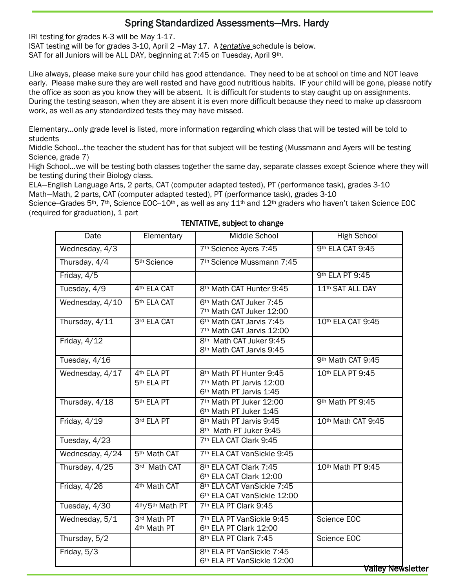# Spring Standardized Assessments—Mrs. Hardy

IRI testing for grades K-3 will be May 1-17.

ISAT testing will be for grades 3-10, April 2 –May 17. A *tentative* schedule is below. SAT for all Juniors will be ALL DAY, beginning at 7:45 on Tuesday, April 9th.

Like always, please make sure your child has good attendance. They need to be at school on time and NOT leave early. Please make sure they are well rested and have good nutritious habits. IF your child will be gone, please notify the office as soon as you know they will be absent. It is difficult for students to stay caught up on assignments. During the testing season, when they are absent it is even more difficult because they need to make up classroom work, as well as any standardized tests they may have missed.

Elementary…only grade level is listed, more information regarding which class that will be tested will be told to students

Middle School…the teacher the student has for that subject will be testing (Mussmann and Ayers will be testing Science, grade 7)

High School…we will be testing both classes together the same day, separate classes except Science where they will be testing during their Biology class.

ELA—English Language Arts, 2 parts, CAT (computer adapted tested), PT (performance task), grades 3-10 Math—Math, 2 parts, CAT (computer adapted tested), PT (performance task), grades 3-10

Science--Grades 5<sup>th</sup>, 7<sup>th</sup>, Science EOC--10<sup>th</sup>, as well as any 11<sup>th</sup> and 12<sup>th</sup> graders who haven't taken Science EOC (required for graduation), 1 part

| Date            | Elementary                                       | Middle School                                                                                          | <b>High School</b>           |
|-----------------|--------------------------------------------------|--------------------------------------------------------------------------------------------------------|------------------------------|
| Wednesday, 4/3  |                                                  | 7th Science Ayers 7:45                                                                                 | 9th ELA CAT 9:45             |
| Thursday, 4/4   | 5 <sup>th</sup> Science                          | 7 <sup>th</sup> Science Mussmann 7:45                                                                  |                              |
| Friday, 4/5     |                                                  |                                                                                                        | 9th ELA PT 9:45              |
| Tuesday, 4/9    | 4 <sup>th</sup> ELA CAT                          | 8th Math CAT Hunter 9:45                                                                               | 11 <sup>th</sup> SAT ALL DAY |
| Wednesday, 4/10 | 5 <sup>th</sup> ELA CAT                          | 6th Math CAT Juker 7:45<br>7 <sup>th</sup> Math CAT Juker 12:00                                        |                              |
| Thursday, 4/11  | 3rd ELA CAT                                      | 6 <sup>th</sup> Math CAT Jarvis 7:45<br>7 <sup>th</sup> Math CAT Jarvis 12:00                          | 10th ELA CAT 9:45            |
| Friday, $4/12$  |                                                  | 8th Math CAT Juker 9:45<br>8 <sup>th</sup> Math CAT Jarvis 9:45                                        |                              |
| Tuesday, 4/16   |                                                  |                                                                                                        | 9th Math CAT 9:45            |
| Wednesday, 4/17 | 4 <sup>th</sup> ELA PT<br>5 <sup>th</sup> ELA PT | 8 <sup>th</sup> Math PT Hunter 9:45<br>7 <sup>th</sup> Math PT Jarvis 12:00<br>6th Math PT Jarvis 1:45 | 10th ELA PT 9:45             |
| Thursday, 4/18  | 5 <sup>th</sup> ELA PT                           | 7th Math PT Juker 12:00<br>6th Math PT Juker 1:45                                                      | 9th Math PT 9:45             |
| Friday, $4/19$  | 3rd ELA PT                                       | 8 <sup>th</sup> Math PT Jarvis 9:45<br>8th Math PT Juker 9:45                                          | 10th Math CAT 9:45           |
| Tuesday, 4/23   |                                                  | 7 <sup>th</sup> ELA CAT Clark 9:45                                                                     |                              |
| Wednesday, 4/24 | 5 <sup>th</sup> Math CAT                         | 7th ELA CAT VanSickle 9:45                                                                             |                              |
| Thursday, 4/25  | 3rd Math CAT                                     | 8th ELA CAT Clark 7:45<br>6th ELA CAT Clark 12:00                                                      | 10th Math PT 9:45            |
| Friday, 4/26    | 4 <sup>th</sup> Math CAT                         | 8th ELA CAT VanSickle 7:45<br>6th ELA CAT VanSickle 12:00                                              |                              |
| Tuesday, 4/30   | 4th/5th Math PT                                  | 7th ELA PT Clark 9:45                                                                                  |                              |
| Wednesday, 5/1  | 3rd Math PT<br>4 <sup>th</sup> Math PT           | 7th ELA PT VanSickle 9:45<br>6th ELA PT Clark 12:00                                                    | Science EOC                  |
| Thursday, 5/2   |                                                  | 8 <sup>th</sup> ELA PT Clark 7:45                                                                      | Science EOC                  |
| Friday, 5/3     |                                                  | 8 <sup>th</sup> ELA PT VanSickle 7:45<br>6th ELA PT VanSickle 12:00                                    | <b>Valley New</b>            |

#### TENTATIVE, subject to change

valley Newsletter